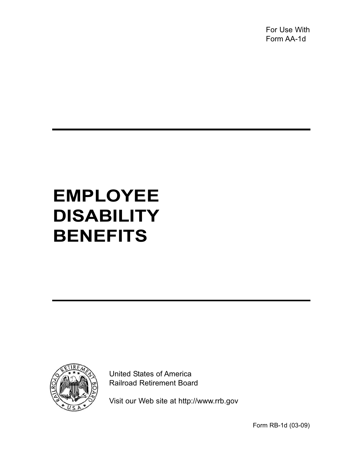For Use With Form AA-1d

# **EMPLOYEE DISABILITY BENEFITS**



United States of America Railroad Retirement Board

Visit our Web site at http://www.rrb.gov

Form RB-1d (03-09)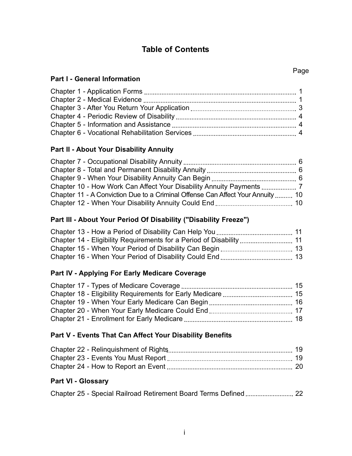# **Table of Contents**

#### **Part II - About Your Disability Annuity**

| Chapter 11 - A Conviction Due to a Criminal Offense Can Affect Your Annuity  10 |  |
|---------------------------------------------------------------------------------|--|
|                                                                                 |  |

## **Part III - About Your Period Of Disability ("Disability Freeze")**

## **Part IV - Applying For Early Medicare Coverage**

#### **Part V - Events That Can Affect Your Disability Benefits**

## **Part VI - Glossary**

|--|--|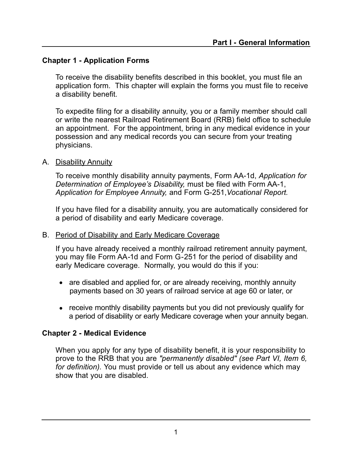## **Chapter 1 - Application Forms**

To receive the disability benefits described in this booklet, you must file an application form. This chapter will explain the forms you must file to receive a disability benefit.

To expedite filing for a disability annuity, you or a family member should call or write the nearest Railroad Retirement Board (RRB) field office to schedule an appointment. For the appointment, bring in any medical evidence in your possession and any medical records you can secure from your treating physicians.

## A. Disability Annuity

To receive monthly disability annuity payments, Form AA-1d, *Application for Determination of Employee's Disability,* must be filed with Form AA-1, *Application for Employee Annuity,* and Form G-251,*Vocational Report.* 

If you have filed for a disability annuity, you are automatically considered for a period of disability and early Medicare coverage.

#### B. Period of Disability and Early Medicare Coverage

If you have already received a monthly railroad retirement annuity payment, you may file Form AA-1d and Form G-251 for the period of disability and early Medicare coverage. Normally, you would do this if you:

- are disabled and applied for, or are already receiving, monthly annuity payments based on 30 years of railroad service at age 60 or later, or
- receive monthly disability payments but you did not previously qualify for a period of disability or early Medicare coverage when your annuity began.

#### **Chapter 2 - Medical Evidence**

When you apply for any type of disability benefit, it is your responsibility to prove to the RRB that you are *"permanently disabled" (see Part VI, Item 6, for definition).* You must provide or tell us about any evidence which may show that you are disabled.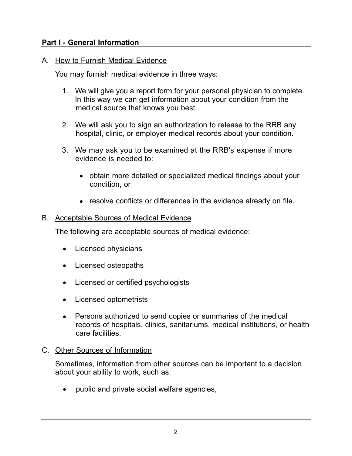## **Part I - General Information**

#### A. <u>How to Furnish Medical Evidence</u>

You may furnish medical evidence in three ways:

- 1. We will give you a report form for your personal physician to complete. In this way we can get information about your condition from the medical source that knows you best.
- 2. We will ask you to sign an authorization to release to the RRB any hospital, clinic, or employer medical records about your condition.
- 3. We may ask you to be examined at the RRB's expense if more evidence is needed to:
	- obtain more detailed or specialized medical findings about your condition, or
	- resolve conflicts or differences in the evidence already on file.

#### B. Acceptable Sources of Medical Evidence

The following are acceptable sources of medical evidence:

- Licensed physicians
- Licensed osteopaths
- Licensed or certified psychologists
- Licensed optometrists
- Persons authorized to send copies or summaries of the medical records of hospitals, clinics, sanitariums, medical institutions, or health care facilities.

#### C. Other Sources of Information

Sometimes, information from other sources can be important to a decision about your ability to work, such as:

public and private social welfare agencies,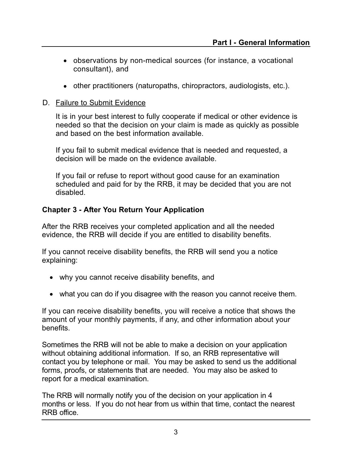- observations by non-medical sources (for instance, a vocational consultant), and
- other practitioners (naturopaths, chiropractors, audiologists, etc.).

#### D. Failure to Submit Evidence

It is in your best interest to fully cooperate if medical or other evidence is needed so that the decision on your claim is made as quickly as possible and based on the best information available.

If you fail to submit medical evidence that is needed and requested, a decision will be made on the evidence available.

If you fail or refuse to report without good cause for an examination scheduled and paid for by the RRB, it may be decided that you are not disabled.

#### **Chapter 3 - After You Return Your Application**

After the RRB receives your completed application and all the needed evidence, the RRB will decide if you are entitled to disability benefits.

If you cannot receive disability benefits, the RRB will send you a notice explaining:

- why you cannot receive disability benefits, and
- what you can do if you disagree with the reason you cannot receive them.

If you can receive disability benefits, you will receive a notice that shows the amount of your monthly payments, if any, and other information about your benefits.

Sometimes the RRB will not be able to make a decision on your application without obtaining additional information. If so, an RRB representative will contact you by telephone or mail. You may be asked to send us the additional forms, proofs, or statements that are needed. You may also be asked to report for a medical examination.

The RRB will normally notify you of the decision on your application in 4 months or less. If you do not hear from us within that time, contact the nearest RRB office.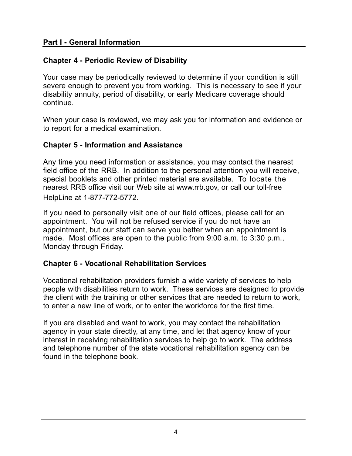## **Part I - General Information**

## **Chapter 4 - Periodic Review of Disability**

Your case may be periodically reviewed to determine if your condition is still severe enough to prevent you from working. This is necessary to see if your disability annuity, period of disability, or early Medicare coverage should continue.

When your case is reviewed, we may ask you for information and evidence or to report for a medical examination.

#### **Chapter 5 - Information and Assistance**

Any time you need information or assistance, you may contact the nearest field office of the RRB. In addition to the personal attention you will receive, special booklets and other printed material are available. To locate the nearest RRB office visit our Web site at www.rrb.gov, or call our toll-free HelpLine at 1-877-772-5772.

If you need to personally visit one of our field offices, please call for an appointment. You will not be refused service if you do not have an appointment, but our staff can serve you better when an appointment is made. Most offices are open to the public from 9:00 a.m. to 3:30 p.m., Monday through Friday.

## **Chapter 6 - Vocational Rehabilitation Services**

Vocational rehabilitation providers furnish a wide variety of services to help people with disabilities return to work. These services are designed to provide the client with the training or other services that are needed to return to work, to enter a new line of work, or to enter the workforce for the first time.

If you are disabled and want to work, you may contact the rehabilitation agency in your state directly, at any time, and let that agency know of your interest in receiving rehabilitation services to help go to work. The address and telephone number of the state vocational rehabilitation agency can be found in the telephone book.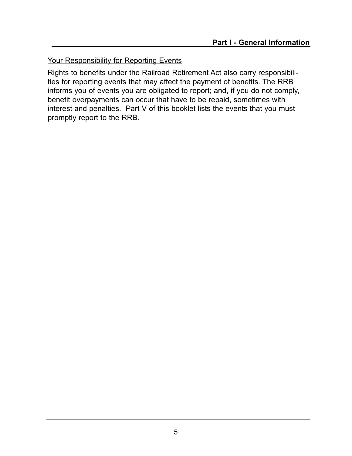## Your Responsibility for Reporting Events

Rights to benefits under the Railroad Retirement Act also carry responsibilities for reporting events that may affect the payment of benefits. The RRB informs you of events you are obligated to report; and, if you do not comply, benefit overpayments can occur that have to be repaid, sometimes with interest and penalties. Part V of this booklet lists the events that you must promptly report to the RRB.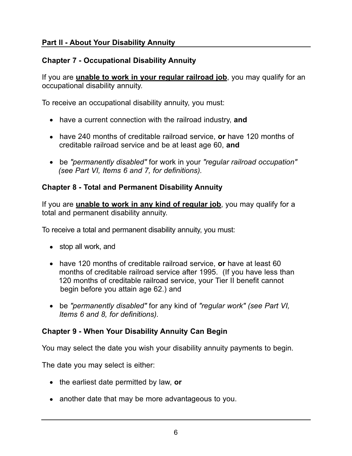# **Part ll - About Your Disability Annuity**

# **Chapter 7 - Occupational Disability Annuity**

If you are **unable to work in your regular railroad job**, you may qualify for an occupational disability annuity.

To receive an occupational disability annuity, you must:

- have a current connection with the railroad industry, **and**
- have 240 months of creditable railroad service, **or** have 120 months of creditable railroad service and be at least age 60, **and**
- be *"permanently disabled"* for work in your *"regular railroad occupation" (see Part VI, Items 6 and 7, for definitions).*

# **Chapter 8 - Total and Permanent Disability Annuity**

If you are **unable to work in any kind of regular job**, you may qualify for a total and permanent disability annuity.

To receive a total and permanent disability annuity, you must:

- stop all work, and
- have 120 months of creditable railroad service, **or** have at least 60 months of creditable railroad service after 1995. (If you have less than 120 months of creditable railroad service, your Tier II benefit cannot begin before you attain age 62.) and
- be *"permanently disabled"* for any kind of *"regular work" (see Part VI, Items 6 and 8, for definitions).*

## **Chapter 9 - When Your Disability Annuity Can Begin**

You may select the date you wish your disability annuity payments to begin.

The date you may select is either:

- the earliest date permitted by law, **or**
- another date that may be more advantageous to you.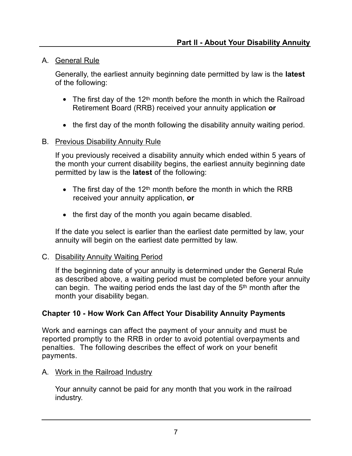## A. Ceneral Rule

Generally, the earliest annuity beginning date permitted by law is the **latest**  of the following:

- The first day of the 12<sup>th</sup> month before the month in which the Railroad Retirement Board (RRB) received your annuity application **or**
- the first day of the month following the disability annuity waiting period.

## B. Previous Disability Annuity Rule

If you previously received a disability annuity which ended within 5 years of the month your current disability begins, the earliest annuity beginning date permitted by law is the **latest** of the following:

- The first day of the 12<sup>th</sup> month before the month in which the RRB received your annuity application, **or**
- the first day of the month you again became disabled.

If the date you select is earlier than the earliest date permitted by law, your annuity will begin on the earliest date permitted by law.

## C. Disability Annuity Waiting Period

If the beginning date of your annuity is determined under the General Rule as described above, a waiting period must be completed before your annuity can begin. The waiting period ends the last day of the 5<sup>th</sup> month after the month your disability began.

## **Chapter 10 - How Work Can Affect Your Disability Annuity Payments**

Work and earnings can affect the payment of your annuity and must be reported promptly to the RRB in order to avoid potential overpayments and penalties. The following describes the effect of work on your benefit payments.

## A. Work in the Railroad Industry

Your annuity cannot be paid for any month that you work in the railroad industry.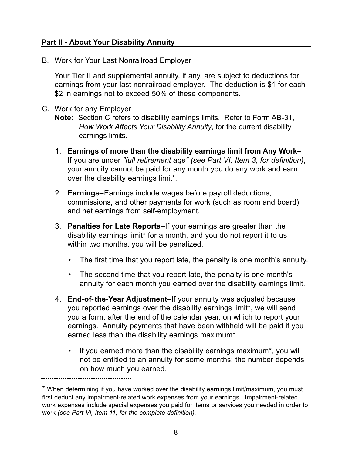## **Part ll - About Your Disability Annuity**

B. Work for Your Last Nonrailroad Employer

Your Tier II and supplemental annuity, if any, are subject to deductions for earnings from your last nonrailroad employer. The deduction is \$1 for each \$2 in earnings not to exceed 50% of these components.

#### C. Work for any Employer

**Note:** Section C refers to disability earnings limits. Refer to Form AB-31, *How Work Affects Your Disability Annuity*, for the current disability earnings limits.

- 1. **Earnings of more than the disability earnings limit from Any Work** If you are under *"full retirement age" (see Part VI, Item 3, for definition)*, your annuity cannot be paid for any month you do any work and earn over the disability earnings limit\*.
- 2. **Earnings**–Earnings include wages before payroll deductions, commissions, and other payments for work (such as room and board) and net earnings from self-employment.
- 3. **Penalties for Late Reports**–If your earnings are greater than the disability earnings limit\* for a month, and you do not report it to us within two months, you will be penalized.
	- The first time that you report late, the penalty is one month's annuity.
	- The second time that you report late, the penalty is one month's annuity for each month you earned over the disability earnings limit.
- 4. **End-of-the-Year Adjustment**–If your annuity was adjusted because you reported earnings over the disability earnings limit\*, we will send you a form, after the end of the calendar year, on which to report your earnings. Annuity payments that have been withheld will be paid if you earned less than the disability earnings maximum\*.
	- If you earned more than the disability earnings maximum\*, you will not be entitled to an annuity for some months; the number depends on how much you earned.

<sup>\*</sup> When determining if you have worked over the disability earnings limit/maximum, you must first deduct any impairment-related work expenses from your earnings. Impairment-related work expenses include special expenses you paid for items or services you needed in order to work *(see Part VI, Item 11, for the complete definition).*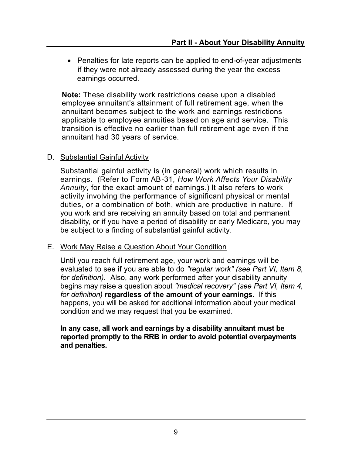• Penalties for late reports can be applied to end-of-year adjustments if they were not already assessed during the year the excess earnings occurred.

**Note:** These disability work restrictions cease upon a disabled employee annuitant's attainment of full retirement age, when the annuitant becomes subject to the work and earnings restrictions applicable to employee annuities based on age and service. This transition is effective no earlier than full retirement age even if the annuitant had 30 years of service.

#### D. Substantial Gainful Activity

Substantial gainful activity is (in general) work which results in earnings. (Refer to Form AB-31, *How Work Affects Your Disability Annuity*, for the exact amount of earnings.) It also refers to work activity involving the performance of significant physical or mental duties, or a combination of both, which are productive in nature. If you work and are receiving an annuity based on total and permanent disability, or if you have a period of disability or early Medicare, you may be subject to a finding of substantial gainful activity.

#### E. Work May Raise a Question About Your Condition

Until you reach full retirement age, your work and earnings will be evaluated to see if you are able to do *"regular work" (see Part VI, Item 8, for definition).* Also, any work performed after your disability annuity begins may raise a question about *"medical recovery" (see Part VI, Item 4, for definition)* **regardless of the amount of your earnings.** If this happens, you will be asked for additional information about your medical condition and we may request that you be examined.

#### **In any case, all work and earnings by a disability annuitant must be reported promptly to the RRB in order to avoid potential overpayments and penalties.**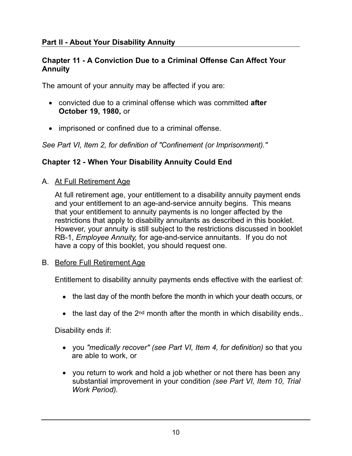## **Part ll - About Your Disability Annuity**

#### **Chapter 11 - A Conviction Due to a Criminal Offense Can Affect Your Annuity**

The amount of your annuity may be affected if you are:

- convicted due to a criminal offense which was committed **after October 19, 1980,** or
- imprisoned or confined due to a criminal offense.

*See Part VI, Item 2, for definition of "Confinement (or Imprisonment)."* 

## **Chapter 12 - When Your Disability Annuity Could End**

A. At Full Retirement Age

At full retirement age, your entitlement to a disability annuity payment ends and your entitlement to an age-and-service annuity begins. This means that your entitlement to annuity payments is no longer affected by the restrictions that apply to disability annuitants as described in this booklet. However, your annuity is still subject to the restrictions discussed in booklet RB-1, *Employee Annuity,* for age-and-service annuitants. If you do not have a copy of this booklet, you should request one.

#### B. Before Full Retirement Age

Entitlement to disability annuity payments ends effective with the earliest of:

- the last day of the month before the month in which your death occurs, or
- $\bullet$  the last day of the 2<sup>nd</sup> month after the month in which disability ends..

Disability ends if:

- you *"medically recover" (see Part VI, Item 4, for definition)* so that you are able to work, or
- you return to work and hold a job whether or not there has been any substantial improvement in your condition *(see Part VI, Item 10, Trial Work Period).*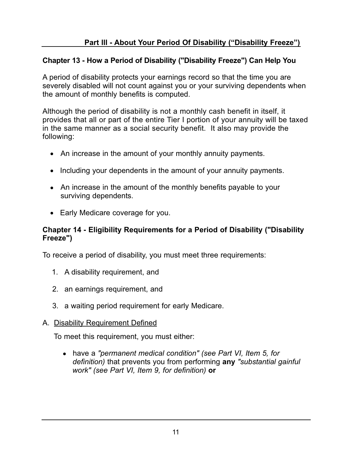# **Chapter 13 - How a Period of Disability ("Disability Freeze") Can Help You**

A period of disability protects your earnings record so that the time you are severely disabled will not count against you or your surviving dependents when the amount of monthly benefits is computed.

Although the period of disability is not a monthly cash benefit in itself, it provides that all or part of the entire Tier I portion of your annuity will be taxed in the same manner as a social security benefit. It also may provide the following:

- An increase in the amount of your monthly annuity payments.
- Including your dependents in the amount of your annuity payments.
- An increase in the amount of the monthly benefits payable to your surviving dependents.
- Early Medicare coverage for you.

## **Chapter 14 - Eligibility Requirements for a Period of Disability ("Disability Freeze")**

To receive a period of disability, you must meet three requirements:

- 1. A disability requirement, and
- 2. an earnings requirement, and
- 3. a waiting period requirement for early Medicare.

## A. Disability Requirement Defined

To meet this requirement, you must either:

● have a *"permanent medical condition" (see Part VI, Item 5, for definition)* that prevents you from performing **any** *"substantial gainful work" (see Part VI, Item 9, for definition)* **or**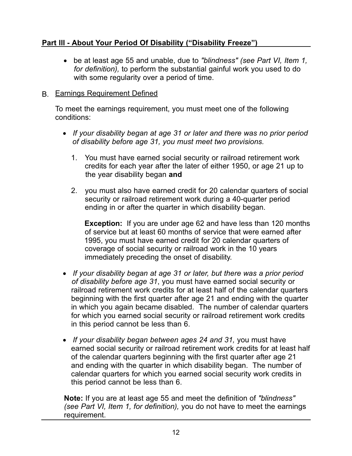## **Part lll - About Your Period Of Disability ("Disability Freeze")**

● be at least age 55 and unable, due to *"blindness" (see Part VI, Item 1, for definition),* to perform the substantial gainful work you used to do with some regularity over a period of time.

#### B. Earnings Requirement Defined

To meet the earnings requirement, you must meet one of the following conditions:

- *If your disability began at age 31 or later and there was no prior period of disability before age 31, you must meet two provisions.* 
	- 1. You must have earned social security or railroad retirement work credits for each year after the later of either 1950, or age 21 up to the year disability began **and**
	- 2. you must also have earned credit for 20 calendar quarters of social security or railroad retirement work during a 40-quarter period ending in or after the quarter in which disability began.

**Exception:** If you are under age 62 and have less than 120 months of service but at least 60 months of service that were earned after 1995, you must have earned credit for 20 calendar quarters of coverage of social security or railroad work in the 10 years immediately preceding the onset of disability.

- *If your disability began at age 31 or later, but there was a prior period of disability before age 31*, you must have earned social security or railroad retirement work credits for at least half of the calendar quarters beginning with the first quarter after age 21 and ending with the quarter in which you again became disabled. The number of calendar quarters for which you earned social security or railroad retirement work credits in this period cannot be less than 6.
- *If your disability began between ages 24 and 31,* you must have earned social security or railroad retirement work credits for at least half of the calendar quarters beginning with the first quarter after age 21 and ending with the quarter in which disability began. The number of calendar quarters for which you earned social security work credits in this period cannot be less than 6.

**Note:** If you are at least age 55 and meet the definition of *"blindness" (see Part VI, Item 1, for definition),* you do not have to meet the earnings requirement.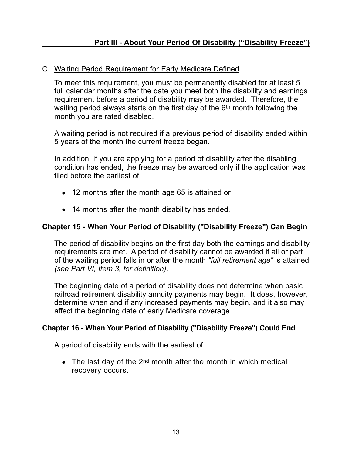## C. Waiting Period Requirement for Early Medicare Defined

To meet this requirement, you must be permanently disabled for at least 5 full calendar months after the date you meet both the disability and earnings requirement before a period of disability may be awarded. Therefore, the waiting period always starts on the first day of the 6<sup>th</sup> month following the month you are rated disabled.

A waiting period is not required if a previous period of disability ended within 5 years of the month the current freeze began.

In addition, if you are applying for a period of disability after the disabling condition has ended, the freeze may be awarded only if the application was filed before the earliest of:

- 12 months after the month age 65 is attained or
- 14 months after the month disability has ended.

## **Chapter 15 - When Your Period of Disability ("Disability Freeze") Can Begin**

The period of disability begins on the first day both the earnings and disability requirements are met. A period of disability cannot be awarded if all or part of the waiting period falls in or after the month *"full retirement age"* is attained *(see Part VI, Item 3, for definition).* 

The beginning date of a period of disability does not determine when basic railroad retirement disability annuity payments may begin. It does, however, determine when and if any increased payments may begin, and it also may affect the beginning date of early Medicare coverage.

## **Chapter 16 - When Your Period of Disability ("Disability Freeze") Could End**

A period of disability ends with the earliest of:

• The last day of the  $2^{nd}$  month after the month in which medical recovery occurs.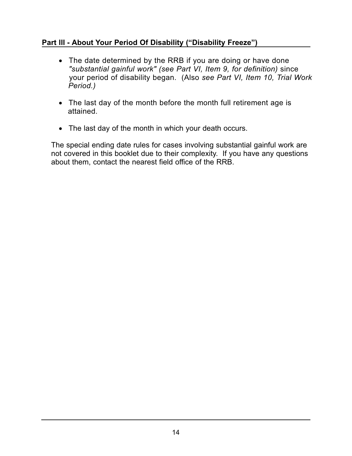## **Part lll - About Your Period Of Disability ("Disability Freeze")**

- The date determined by the RRB if you are doing or have done *"substantial gainful work" (see Part VI, Item 9, for definition)* since your period of disability began. (Also *see Part VI, Item 10, Trial Work Period.)*
- The last day of the month before the month full retirement age is attained.
- The last day of the month in which your death occurs.

The special ending date rules for cases involving substantial gainful work are not covered in this booklet due to their complexity. If you have any questions about them, contact the nearest field office of the RRB.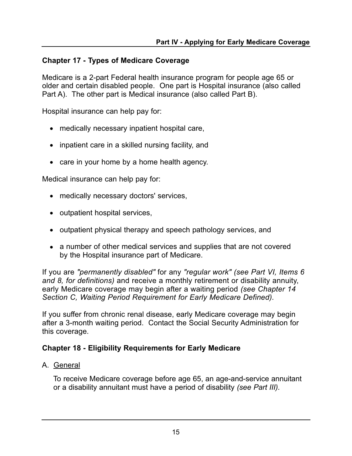## **Chapter 17 - Types of Medicare Coverage**

Medicare is a 2-part Federal health insurance program for people age 65 or older and certain disabled people. One part is Hospital insurance (also called Part A). The other part is Medical insurance (also called Part B).

Hospital insurance can help pay for:

- medically necessary inpatient hospital care,
- inpatient care in a skilled nursing facility, and
- care in your home by a home health agency.

Medical insurance can help pay for:

- medically necessary doctors' services,
- outpatient hospital services,
- outpatient physical therapy and speech pathology services, and
- a number of other medical services and supplies that are not covered by the Hospital insurance part of Medicare.

If you are *"permanently disabled"* for any *"regular work" (see Part VI, Items 6 and 8, for definitions)* and receive a monthly retirement or disability annuity, early Medicare coverage may begin after a waiting period *(see Chapter 14 Section C, Waiting Period Requirement for Early Medicare Defined).* 

If you suffer from chronic renal disease, early Medicare coverage may begin after a 3-month waiting period. Contact the Social Security Administration for this coverage.

## **Chapter 18 - Eligibility Requirements for Early Medicare**

A. General

To receive Medicare coverage before age 65, an age-and-service annuitant or a disability annuitant must have a period of disability *(see Part III).*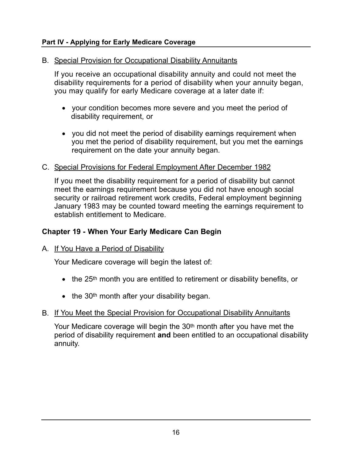#### **Part IV - Applying for Early Medicare Coverage**

## B. Special Provision for Occupational Disability Annuitants

If you receive an occupational disability annuity and could not meet the disability requirements for a period of disability when your annuity began, you may qualify for early Medicare coverage at a later date if:

- your condition becomes more severe and you meet the period of disability requirement, or
- you did not meet the period of disability earnings requirement when you met the period of disability requirement, but you met the earnings requirement on the date your annuity began.

## C. Special Provisions for Federal Employment After December 1982

If you meet the disability requirement for a period of disability but cannot meet the earnings requirement because you did not have enough social security or railroad retirement work credits, Federal employment beginning January 1983 may be counted toward meeting the earnings requirement to establish entitlement to Medicare.

## **Chapter 19 - When Your Early Medicare Can Begin**

## A. If You Have a Period of Disability

Your Medicare coverage will begin the latest of:

- the 25<sup>th</sup> month you are entitled to retirement or disability benefits, or
- $\bullet$  the 30<sup>th</sup> month after your disability began.

## B. If You Meet the Special Provision for Occupational Disability Annuitants

Your Medicare coverage will begin the 30<sup>th</sup> month after you have met the period of disability requirement **and** been entitled to an occupational disability annuity.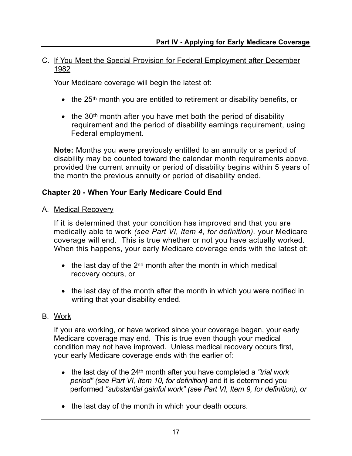#### C. If You Meet the Special Provision for Federal Employment after December 1982

Your Medicare coverage will begin the latest of:

- the 25<sup>th</sup> month you are entitled to retirement or disability benefits, or
- $\bullet$  the 30<sup>th</sup> month after you have met both the period of disability requirement and the period of disability earnings requirement, using Federal employment.

**Note:** Months you were previously entitled to an annuity or a period of disability may be counted toward the calendar month requirements above, provided the current annuity or period of disability begins within 5 years of the month the previous annuity or period of disability ended.

## **Chapter 20 - When Your Early Medicare Could End**

A. Medical Recovery

If it is determined that your condition has improved and that you are medically able to work *(see Part VI, Item 4, for definition),* your Medicare coverage will end. This is true whether or not you have actually worked. When this happens, your early Medicare coverage ends with the latest of:

- $\bullet$  the last day of the 2<sup>nd</sup> month after the month in which medical recovery occurs, or
- the last day of the month after the month in which you were notified in writing that your disability ended.

## B. <u>Work</u>

If you are working, or have worked since your coverage began, your early Medicare coverage may end. This is true even though your medical condition may not have improved. Unless medical recovery occurs first, your early Medicare coverage ends with the earlier of:

- the last day of the 24<sup>th</sup> month after you have completed a "trial work" *period" (see Part VI, Item 10, for definition)* and it is determined you performed *"substantial gainful work" (see Part VI, Item 9, for definition), or*
- the last day of the month in which your death occurs.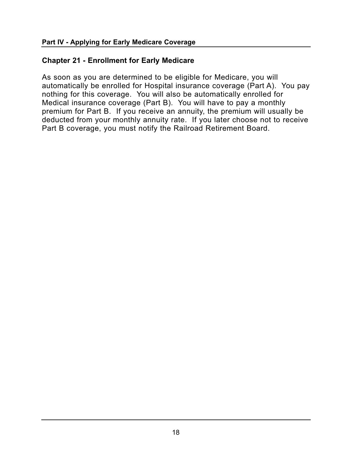### **Chapter 21 - Enrollment for Early Medicare**

As soon as you are determined to be eligible for Medicare, you will automatically be enrolled for Hospital insurance coverage (Part A). You pay nothing for this coverage. You will also be automatically enrolled for Medical insurance coverage (Part B). You will have to pay a monthly premium for Part B. If you receive an annuity, the premium will usually be deducted from your monthly annuity rate. If you later choose not to receive Part B coverage, you must notify the Railroad Retirement Board.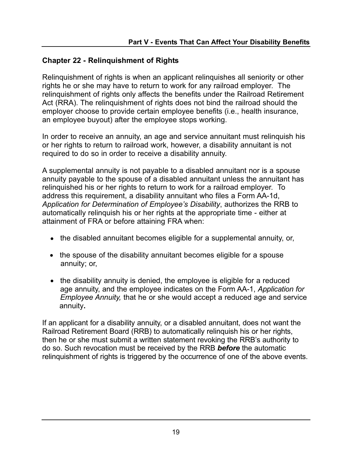## **Chapter 22 - Relinquishment of Rights**

Relinquishment of rights is when an applicant relinquishes all seniority or other rights he or she may have to return to work for any railroad employer. The relinquishment of rights only affects the benefits under the Railroad Retirement Act (RRA). The relinquishment of rights does not bind the railroad should the employer choose to provide certain employee benefits (i.e., health insurance, an employee buyout) after the employee stops working.

In order to receive an annuity, an age and service annuitant must relinquish his or her rights to return to railroad work, however, a disability annuitant is not required to do so in order to receive a disability annuity.

A supplemental annuity is not payable to a disabled annuitant nor is a spouse annuity payable to the spouse of a disabled annuitant unless the annuitant has relinquished his or her rights to return to work for a railroad employer. To address this requirement, a disability annuitant who files a Form AA-1d, *Application for Determination of Employee's Disability*, authorizes the RRB to automatically relinquish his or her rights at the appropriate time - either at attainment of FRA or before attaining FRA when:

- the disabled annuitant becomes eligible for a supplemental annuity, or,
- the spouse of the disability annuitant becomes eligible for a spouse annuity; or,
- the disability annuity is denied, the employee is eligible for a reduced age annuity, and the employee indicates on the Form AA-1, *Application for Employee Annuity,* that he or she would accept a reduced age and service annuity**.**

If an applicant for a disability annuity, or a disabled annuitant, does not want the Railroad Retirement Board (RRB) to automatically relinquish his or her rights, then he or she must submit a written statement revoking the RRB's authority to do so. Such revocation must be received by the RRB *before* the automatic relinquishment of rights is triggered by the occurrence of one of the above events.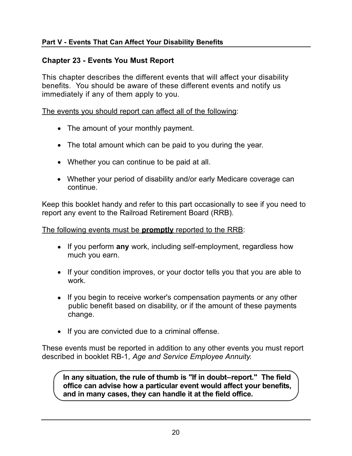## **Chapter 23 - Events You Must Report**

This chapter describes the different events that will affect your disability benefits. You should be aware of these different events and notify us immediately if any of them apply to you.

The events you should report can affect all of the following:

- The amount of your monthly payment.
- The total amount which can be paid to you during the year.
- Whether you can continue to be paid at all.
- Whether your period of disability and/or early Medicare coverage can continue.

Keep this booklet handy and refer to this part occasionally to see if you need to report any event to the Railroad Retirement Board (RRB).

The following events must be **promptly** reported to the RRB:

- If you perform **any** work, including self-employment, regardless how much you earn.
- If your condition improves, or your doctor tells you that you are able to work.
- If you begin to receive worker's compensation payments or any other public benefit based on disability, or if the amount of these payments change.
- If you are convicted due to a criminal offense.

These events must be reported in addition to any other events you must report described in booklet RB-1, *Age and Service Employee Annuity.* 

**In any situation, the rule of thumb is "If in doubt–report." The field office can advise how a particular event would affect your benefits, and in many cases, they can handle it at the field office.**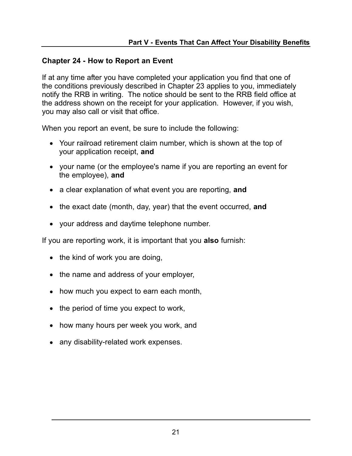## **Chapter 24 - How to Report an Event**

If at any time after you have completed your application you find that one of the conditions previously described in Chapter 23 applies to you, immediately notify the RRB in writing. The notice should be sent to the RRB field office at the address shown on the receipt for your application. However, if you wish, you may also call or visit that office.

When you report an event, be sure to include the following:

- Your railroad retirement claim number, which is shown at the top of your application receipt, **and**
- your name (or the employee's name if you are reporting an event for the employee), **and**
- a clear explanation of what event you are reporting, **and**
- the exact date (month, day, year) that the event occurred, **and**
- your address and daytime telephone number.

If you are reporting work, it is important that you **also** furnish:

- $\bullet$  the kind of work you are doing,
- the name and address of your employer,
- how much you expect to earn each month,
- the period of time you expect to work,
- how many hours per week you work, and
- any disability-related work expenses.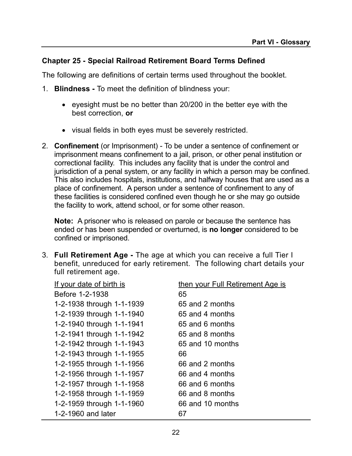## **Chapter 25 - Special Railroad Retirement Board Terms Defined**

The following are definitions of certain terms used throughout the booklet.

- 1. **Blindness -** To meet the definition of blindness your:
	- eyesight must be no better than 20/200 in the better eye with the best correction, **or**
	- visual fields in both eyes must be severely restricted.
- 2. **Confinement** (or Imprisonment) To be under a sentence of confinement or imprisonment means confinement to a jail, prison, or other penal institution or correctional facility. This includes any facility that is under the control and jurisdiction of a penal system, or any facility in which a person may be confined. This also includes hospitals, institutions, and halfway houses that are used as a place of confinement. A person under a sentence of confinement to any of these facilities is considered confined even though he or she may go outside the facility to work, attend school, or for some other reason.

**Note:** A prisoner who is released on parole or because the sentence has ended or has been suspended or overturned, is **no longer** considered to be confined or imprisoned.

3. **Full Retirement Age -** The age at which you can receive a full Tier I benefit, unreduced for early retirement. The following chart details your full retirement age.

| If your date of birth is  | then your Full Retirement Age is |
|---------------------------|----------------------------------|
| Before 1-2-1938           | 65                               |
| 1-2-1938 through 1-1-1939 | 65 and 2 months                  |
| 1-2-1939 through 1-1-1940 | 65 and 4 months                  |
| 1-2-1940 through 1-1-1941 | 65 and 6 months                  |
| 1-2-1941 through 1-1-1942 | 65 and 8 months                  |
| 1-2-1942 through 1-1-1943 | 65 and 10 months                 |
| 1-2-1943 through 1-1-1955 | 66                               |
| 1-2-1955 through 1-1-1956 | 66 and 2 months                  |
| 1-2-1956 through 1-1-1957 | 66 and 4 months                  |
| 1-2-1957 through 1-1-1958 | 66 and 6 months                  |
| 1-2-1958 through 1-1-1959 | 66 and 8 months                  |
| 1-2-1959 through 1-1-1960 | 66 and 10 months                 |
| 1-2-1960 and later        | 67                               |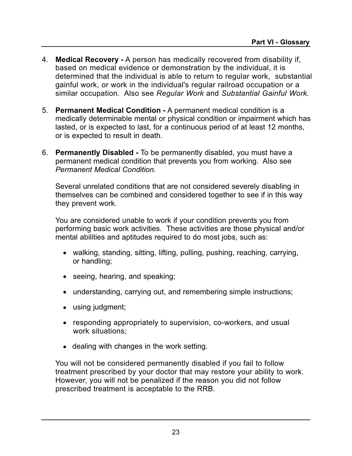- 4. **Medical Recovery -** A person has medically recovered from disability if, based on medical evidence or demonstration by the individual, it is determined that the individual is able to return to regular work, substantial gainful work, or work in the individual's regular railroad occupation or a similar occupation. Also see *Regular Work* and *Substantial Gainful Work.*
- 5. **Permanent Medical Condition -** A permanent medical condition is a medically determinable mental or physical condition or impairment which has lasted, or is expected to last, for a continuous period of at least 12 months, or is expected to result in death.
- 6. **Permanently Disabled -** To be permanently disabled, you must have a permanent medical condition that prevents you from working. Also see *Permanent Medical Condition.*

Several unrelated conditions that are not considered severely disabling in themselves can be combined and considered together to see if in this way they prevent work.

You are considered unable to work if your condition prevents you from performing basic work activities. These activities are those physical and/or mental abilities and aptitudes required to do most jobs, such as:

- walking, standing, sitting, lifting, pulling, pushing, reaching, carrying, or handling;
- seeing, hearing, and speaking;
- understanding, carrying out, and remembering simple instructions;
- using judgment;
- responding appropriately to supervision, co-workers, and usual work situations;
- dealing with changes in the work setting.

You will not be considered permanently disabled if you fail to follow treatment prescribed by your doctor that may restore your ability to work. However, you will not be penalized if the reason you did not follow prescribed treatment is acceptable to the RRB.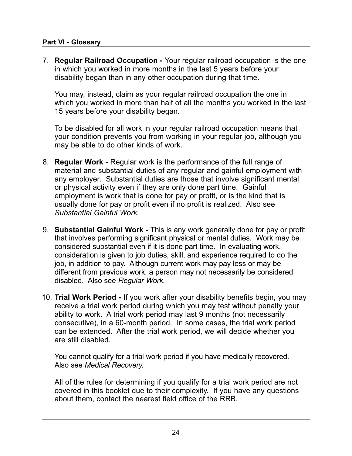#### **Part VI - Glossary**

7. **Regular Railroad Occupation -** Your regular railroad occupation is the one in which you worked in more months in the last 5 years before your disability began than in any other occupation during that time.

You may, instead, claim as your regular railroad occupation the one in which you worked in more than half of all the months you worked in the last 15 years before your disability began.

To be disabled for all work in your regular railroad occupation means that your condition prevents you from working in your regular job, although you may be able to do other kinds of work.

- 8. **Regular Work -** Regular work is the performance of the full range of material and substantial duties of any regular and gainful employment with any employer. Substantial duties are those that involve significant mental or physical activity even if they are only done part time. Gainful employment is work that is done for pay or profit, or is the kind that is usually done for pay or profit even if no profit is realized. Also see *Substantial Gainful Work.*
- 9. **Substantial Gainful Work -** This is any work generally done for pay or profit that involves performing significant physical or mental duties. Work may be considered substantial even if it is done part time. In evaluating work, consideration is given to job duties, skill, and experience required to do the job, in addition to pay. Although current work may pay less or may be different from previous work, a person may not necessarily be considered disabled. Also see *Regular Work.*
- 10. **Trial Work Period -** If you work after your disability benefits begin, you may receive a trial work period during which you may test without penalty your ability to work. A trial work period may last 9 months (not necessarily consecutive), in a 60-month period. In some cases, the trial work period can be extended. After the trial work period, we will decide whether you are still disabled.

You cannot qualify for a trial work period if you have medically recovered. Also see *Medical Recovery.* 

All of the rules for determining if you qualify for a trial work period are not covered in this booklet due to their complexity. If you have any questions about them, contact the nearest field office of the RRB.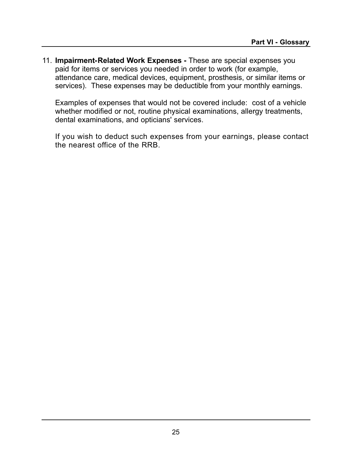11. **Impairment-Related Work Expenses -** These are special expenses you paid for items or services you needed in order to work (for example, attendance care, medical devices, equipment, prosthesis, or similar items or services). These expenses may be deductible from your monthly earnings.

Examples of expenses that would not be covered include: cost of a vehicle whether modified or not, routine physical examinations, allergy treatments, dental examinations, and opticians' services.

If you wish to deduct such expenses from your earnings, please contact the nearest office of the RRB.